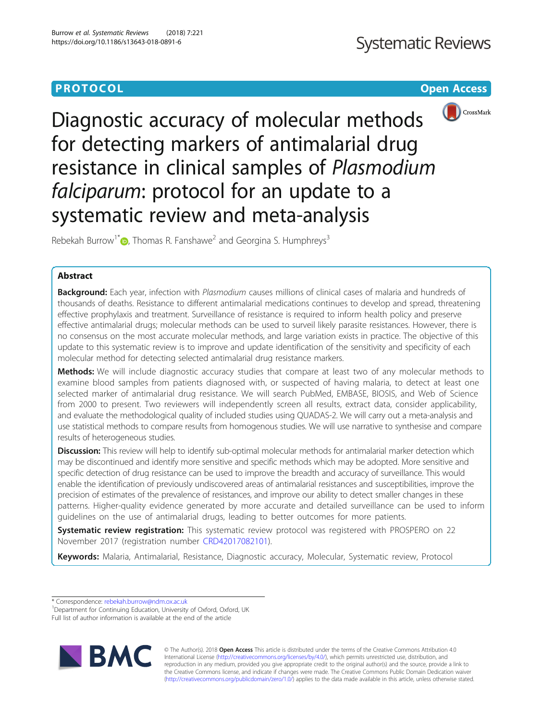# **PROTOCOL CONSUMING THE OPEN ACCESS**



Diagnostic accuracy of molecular methods for detecting markers of antimalarial drug resistance in clinical samples of Plasmodium falciparum: protocol for an update to a systematic review and meta-analysis

Rebekah Burrow<sup>1\*</sup> $\bullet$ [,](http://orcid.org/0000-0002-4757-9465) Thomas R. Fanshawe<sup>2</sup> and Georgina S. Humphreys<sup>3</sup>

# Abstract

Background: Each year, infection with Plasmodium causes millions of clinical cases of malaria and hundreds of thousands of deaths. Resistance to different antimalarial medications continues to develop and spread, threatening effective prophylaxis and treatment. Surveillance of resistance is required to inform health policy and preserve effective antimalarial drugs; molecular methods can be used to surveil likely parasite resistances. However, there is no consensus on the most accurate molecular methods, and large variation exists in practice. The objective of this update to this systematic review is to improve and update identification of the sensitivity and specificity of each molecular method for detecting selected antimalarial drug resistance markers.

Methods: We will include diagnostic accuracy studies that compare at least two of any molecular methods to examine blood samples from patients diagnosed with, or suspected of having malaria, to detect at least one selected marker of antimalarial drug resistance. We will search PubMed, EMBASE, BIOSIS, and Web of Science from 2000 to present. Two reviewers will independently screen all results, extract data, consider applicability, and evaluate the methodological quality of included studies using QUADAS-2. We will carry out a meta-analysis and use statistical methods to compare results from homogenous studies. We will use narrative to synthesise and compare results of heterogeneous studies.

Discussion: This review will help to identify sub-optimal molecular methods for antimalarial marker detection which may be discontinued and identify more sensitive and specific methods which may be adopted. More sensitive and specific detection of drug resistance can be used to improve the breadth and accuracy of surveillance. This would enable the identification of previously undiscovered areas of antimalarial resistances and susceptibilities, improve the precision of estimates of the prevalence of resistances, and improve our ability to detect smaller changes in these patterns. Higher-quality evidence generated by more accurate and detailed surveillance can be used to inform guidelines on the use of antimalarial drugs, leading to better outcomes for more patients.

Systematic review registration: This systematic review protocol was registered with PROSPERO on 22 November 2017 (registration number [CRD42017082101\)](http://www.crd.york.ac.uk/PROSPERO/display_record.php?ID=CRD42017082101).

Keywords: Malaria, Antimalarial, Resistance, Diagnostic accuracy, Molecular, Systematic review, Protocol

\* Correspondence: [rebekah.burrow@ndm.ox.ac.uk](mailto:rebekah.burrow@ndm.ox.ac.uk) <sup>1</sup>

<sup>1</sup>Department for Continuing Education, University of Oxford, Oxford, UK Full list of author information is available at the end of the article



© The Author(s). 2018 Open Access This article is distributed under the terms of the Creative Commons Attribution 4.0 International License [\(http://creativecommons.org/licenses/by/4.0/](http://creativecommons.org/licenses/by/4.0/)), which permits unrestricted use, distribution, and reproduction in any medium, provided you give appropriate credit to the original author(s) and the source, provide a link to the Creative Commons license, and indicate if changes were made. The Creative Commons Public Domain Dedication waiver [\(http://creativecommons.org/publicdomain/zero/1.0/](http://creativecommons.org/publicdomain/zero/1.0/)) applies to the data made available in this article, unless otherwise stated.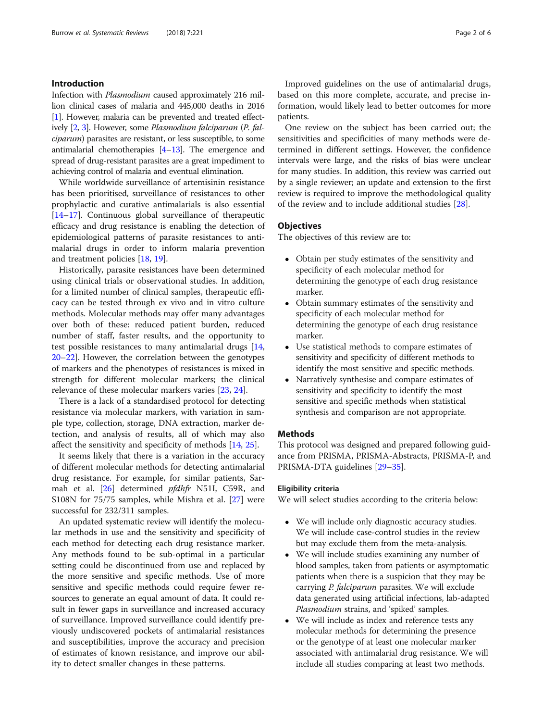# Introduction

Infection with Plasmodium caused approximately 216 million clinical cases of malaria and 445,000 deaths in 2016 [[1](#page-4-0)]. However, malaria can be prevented and treated effectively [\[2,](#page-4-0) [3\]](#page-4-0). However, some Plasmodium falciparum (P. falciparum) parasites are resistant, or less susceptible, to some antimalarial chemotherapies [[4](#page-4-0)–[13\]](#page-4-0). The emergence and spread of drug-resistant parasites are a great impediment to achieving control of malaria and eventual elimination.

While worldwide surveillance of artemisinin resistance has been prioritised, surveillance of resistances to other prophylactic and curative antimalarials is also essential [[14](#page-4-0)–[17](#page-4-0)]. Continuous global surveillance of therapeutic efficacy and drug resistance is enabling the detection of epidemiological patterns of parasite resistances to antimalarial drugs in order to inform malaria prevention and treatment policies [\[18](#page-4-0), [19\]](#page-4-0).

Historically, parasite resistances have been determined using clinical trials or observational studies. In addition, for a limited number of clinical samples, therapeutic efficacy can be tested through ex vivo and in vitro culture methods. Molecular methods may offer many advantages over both of these: reduced patient burden, reduced number of staff, faster results, and the opportunity to test possible resistances to many antimalarial drugs [[14](#page-4-0), [20](#page-5-0)–[22](#page-5-0)]. However, the correlation between the genotypes of markers and the phenotypes of resistances is mixed in strength for different molecular markers; the clinical relevance of these molecular markers varies [[23,](#page-5-0) [24\]](#page-5-0).

There is a lack of a standardised protocol for detecting resistance via molecular markers, with variation in sample type, collection, storage, DNA extraction, marker detection, and analysis of results, all of which may also affect the sensitivity and specificity of methods [\[14](#page-4-0), [25](#page-5-0)].

It seems likely that there is a variation in the accuracy of different molecular methods for detecting antimalarial drug resistance. For example, for similar patients, Sarmah et al. [[26\]](#page-5-0) determined pfdhfr N51I, C59R, and S108N for 75/75 samples, while Mishra et al. [\[27](#page-5-0)] were successful for 232/311 samples.

An updated systematic review will identify the molecular methods in use and the sensitivity and specificity of each method for detecting each drug resistance marker. Any methods found to be sub-optimal in a particular setting could be discontinued from use and replaced by the more sensitive and specific methods. Use of more sensitive and specific methods could require fewer resources to generate an equal amount of data. It could result in fewer gaps in surveillance and increased accuracy of surveillance. Improved surveillance could identify previously undiscovered pockets of antimalarial resistances and susceptibilities, improve the accuracy and precision of estimates of known resistance, and improve our ability to detect smaller changes in these patterns.

Improved guidelines on the use of antimalarial drugs, based on this more complete, accurate, and precise information, would likely lead to better outcomes for more patients.

One review on the subject has been carried out; the sensitivities and specificities of many methods were determined in different settings. However, the confidence intervals were large, and the risks of bias were unclear for many studies. In addition, this review was carried out by a single reviewer; an update and extension to the first review is required to improve the methodological quality of the review and to include additional studies [[28\]](#page-5-0).

# **Objectives**

The objectives of this review are to:

- Obtain per study estimates of the sensitivity and specificity of each molecular method for determining the genotype of each drug resistance marker.
- Obtain summary estimates of the sensitivity and specificity of each molecular method for determining the genotype of each drug resistance marker.
- Use statistical methods to compare estimates of sensitivity and specificity of different methods to identify the most sensitive and specific methods.
- Narratively synthesise and compare estimates of sensitivity and specificity to identify the most sensitive and specific methods when statistical synthesis and comparison are not appropriate.

# Methods

This protocol was designed and prepared following guidance from PRISMA, PRISMA-Abstracts, PRISMA-P, and PRISMA-DTA guidelines [\[29](#page-5-0)–[35\]](#page-5-0).

# Eligibility criteria

We will select studies according to the criteria below:

- We will include only diagnostic accuracy studies. We will include case-control studies in the review but may exclude them from the meta-analysis.
- We will include studies examining any number of blood samples, taken from patients or asymptomatic patients when there is a suspicion that they may be carrying *P. falciparum* parasites. We will exclude data generated using artificial infections, lab-adapted Plasmodium strains, and 'spiked' samples.
- We will include as index and reference tests any molecular methods for determining the presence or the genotype of at least one molecular marker associated with antimalarial drug resistance. We will include all studies comparing at least two methods.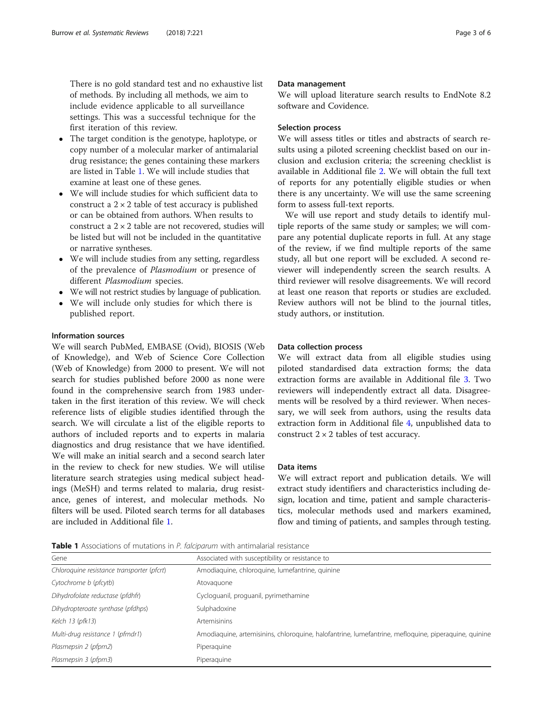<span id="page-2-0"></span>There is no gold standard test and no exhaustive list of methods. By including all methods, we aim to include evidence applicable to all surveillance settings. This was a successful technique for the first iteration of this review.

- The target condition is the genotype, haplotype, or copy number of a molecular marker of antimalarial drug resistance; the genes containing these markers are listed in Table 1. We will include studies that examine at least one of these genes.
- We will include studies for which sufficient data to construct a  $2 \times 2$  table of test accuracy is published or can be obtained from authors. When results to construct a  $2 \times 2$  table are not recovered, studies will be listed but will not be included in the quantitative or narrative syntheses.
- We will include studies from any setting, regardless of the prevalence of Plasmodium or presence of different *Plasmodium* species.
- We will not restrict studies by language of publication.
- We will include only studies for which there is published report.

# Information sources

We will search PubMed, EMBASE (Ovid), BIOSIS (Web of Knowledge), and Web of Science Core Collection (Web of Knowledge) from 2000 to present. We will not search for studies published before 2000 as none were found in the comprehensive search from 1983 undertaken in the first iteration of this review. We will check reference lists of eligible studies identified through the search. We will circulate a list of the eligible reports to authors of included reports and to experts in malaria diagnostics and drug resistance that we have identified. We will make an initial search and a second search later in the review to check for new studies. We will utilise literature search strategies using medical subject headings (MeSH) and terms related to malaria, drug resistance, genes of interest, and molecular methods. No filters will be used. Piloted search terms for all databases are included in Additional file [1](#page-4-0).

# Data management

We will upload literature search results to EndNote 8.2 software and Covidence.

# Selection process

We will assess titles or titles and abstracts of search results using a piloted screening checklist based on our inclusion and exclusion criteria; the screening checklist is available in Additional file [2.](#page-4-0) We will obtain the full text of reports for any potentially eligible studies or when there is any uncertainty. We will use the same screening form to assess full-text reports.

We will use report and study details to identify multiple reports of the same study or samples; we will compare any potential duplicate reports in full. At any stage of the review, if we find multiple reports of the same study, all but one report will be excluded. A second reviewer will independently screen the search results. A third reviewer will resolve disagreements. We will record at least one reason that reports or studies are excluded. Review authors will not be blind to the journal titles, study authors, or institution.

# Data collection process

We will extract data from all eligible studies using piloted standardised data extraction forms; the data extraction forms are available in Additional file [3.](#page-4-0) Two reviewers will independently extract all data. Disagreements will be resolved by a third reviewer. When necessary, we will seek from authors, using the results data extraction form in Additional file [4,](#page-4-0) unpublished data to construct  $2 \times 2$  tables of test accuracy.

# Data items

We will extract report and publication details. We will extract study identifiers and characteristics including design, location and time, patient and sample characteristics, molecular methods used and markers examined, flow and timing of patients, and samples through testing.

Table 1 Associations of mutations in P. falciparum with antimalarial resistance

| Gene                                       | Associated with susceptibility or resistance to                                                      |
|--------------------------------------------|------------------------------------------------------------------------------------------------------|
| Chloroquine resistance transporter (pfcrt) | Amodiaquine, chloroquine, lumefantrine, quinine                                                      |
| Cytochrome b (pfcytb)                      | Atovaguone                                                                                           |
| Dihydrofolate reductase (pfdhfr)           | Cycloguanil, proguanil, pyrimethamine                                                                |
| Dihydropteroate synthase (pfdhps)          | Sulphadoxine                                                                                         |
| Kelch 13 (pfk13)                           | Artemisinins                                                                                         |
| Multi-drug resistance 1 (pfmdr1)           | Amodiaguine, artemisinins, chloroguine, halofantrine, lumefantrine, mefloguine, piperaguine, quinine |
| Plasmepsin 2 (pfpm2)                       | Piperaguine                                                                                          |
| Plasmepsin 3 (pfpm3)                       | Piperaquine                                                                                          |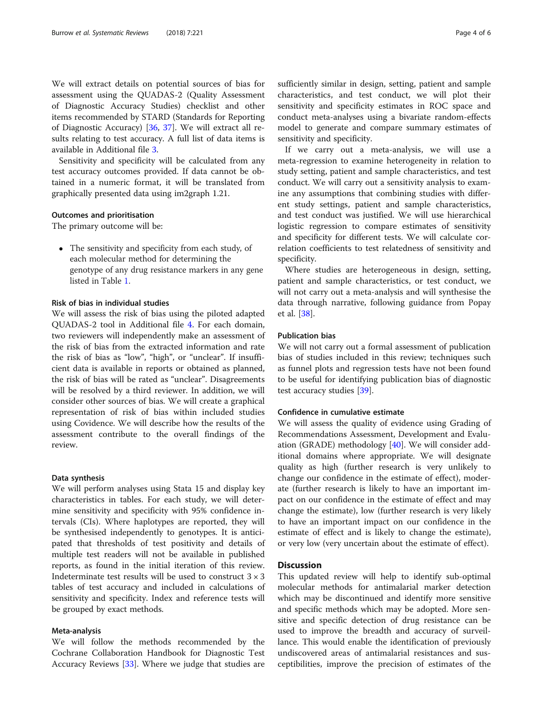We will extract details on potential sources of bias for assessment using the QUADAS-2 (Quality Assessment of Diagnostic Accuracy Studies) checklist and other items recommended by STARD (Standards for Reporting of Diagnostic Accuracy) [\[36](#page-5-0), [37\]](#page-5-0). We will extract all results relating to test accuracy. A full list of data items is available in Additional file [3.](#page-4-0)

Sensitivity and specificity will be calculated from any test accuracy outcomes provided. If data cannot be obtained in a numeric format, it will be translated from graphically presented data using im2graph 1.21.

### Outcomes and prioritisation

The primary outcome will be:

 The sensitivity and specificity from each study, of each molecular method for determining the genotype of any drug resistance markers in any gene listed in Table [1](#page-2-0).

# Risk of bias in individual studies

We will assess the risk of bias using the piloted adapted QUADAS-2 tool in Additional file [4.](#page-4-0) For each domain, two reviewers will independently make an assessment of the risk of bias from the extracted information and rate the risk of bias as "low", "high", or "unclear". If insufficient data is available in reports or obtained as planned, the risk of bias will be rated as "unclear". Disagreements will be resolved by a third reviewer. In addition, we will consider other sources of bias. We will create a graphical representation of risk of bias within included studies using Covidence. We will describe how the results of the assessment contribute to the overall findings of the review.

### Data synthesis

We will perform analyses using Stata 15 and display key characteristics in tables. For each study, we will determine sensitivity and specificity with 95% confidence intervals (CIs). Where haplotypes are reported, they will be synthesised independently to genotypes. It is anticipated that thresholds of test positivity and details of multiple test readers will not be available in published reports, as found in the initial iteration of this review. Indeterminate test results will be used to construct  $3 \times 3$ tables of test accuracy and included in calculations of sensitivity and specificity. Index and reference tests will be grouped by exact methods.

### Meta-analysis

We will follow the methods recommended by the Cochrane Collaboration Handbook for Diagnostic Test Accuracy Reviews [\[33\]](#page-5-0). Where we judge that studies are sufficiently similar in design, setting, patient and sample characteristics, and test conduct, we will plot their sensitivity and specificity estimates in ROC space and conduct meta-analyses using a bivariate random-effects model to generate and compare summary estimates of sensitivity and specificity.

If we carry out a meta-analysis, we will use a meta-regression to examine heterogeneity in relation to study setting, patient and sample characteristics, and test conduct. We will carry out a sensitivity analysis to examine any assumptions that combining studies with different study settings, patient and sample characteristics, and test conduct was justified. We will use hierarchical logistic regression to compare estimates of sensitivity and specificity for different tests. We will calculate correlation coefficients to test relatedness of sensitivity and specificity.

Where studies are heterogeneous in design, setting, patient and sample characteristics, or test conduct, we will not carry out a meta-analysis and will synthesise the data through narrative, following guidance from Popay et al. [\[38](#page-5-0)].

### Publication bias

We will not carry out a formal assessment of publication bias of studies included in this review; techniques such as funnel plots and regression tests have not been found to be useful for identifying publication bias of diagnostic test accuracy studies [[39\]](#page-5-0).

# Confidence in cumulative estimate

We will assess the quality of evidence using Grading of Recommendations Assessment, Development and Evaluation (GRADE) methodology [\[40\]](#page-5-0). We will consider additional domains where appropriate. We will designate quality as high (further research is very unlikely to change our confidence in the estimate of effect), moderate (further research is likely to have an important impact on our confidence in the estimate of effect and may change the estimate), low (further research is very likely to have an important impact on our confidence in the estimate of effect and is likely to change the estimate), or very low (very uncertain about the estimate of effect).

# **Discussion**

This updated review will help to identify sub-optimal molecular methods for antimalarial marker detection which may be discontinued and identify more sensitive and specific methods which may be adopted. More sensitive and specific detection of drug resistance can be used to improve the breadth and accuracy of surveillance. This would enable the identification of previously undiscovered areas of antimalarial resistances and susceptibilities, improve the precision of estimates of the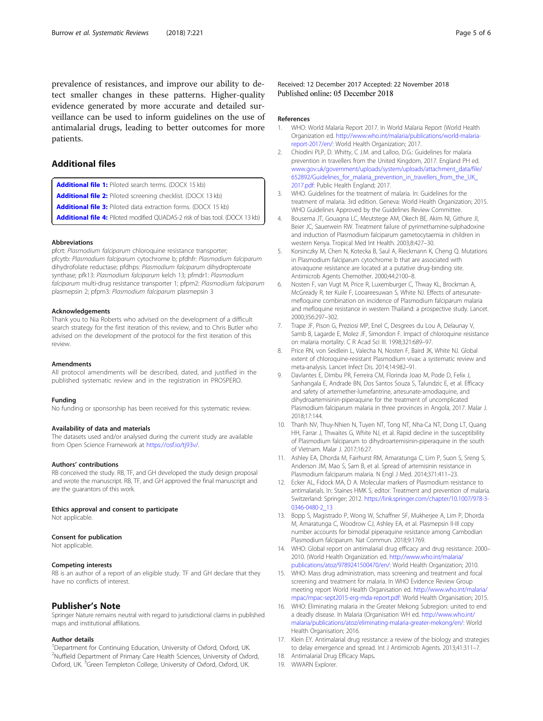<span id="page-4-0"></span>prevalence of resistances, and improve our ability to detect smaller changes in these patterns. Higher-quality evidence generated by more accurate and detailed surveillance can be used to inform guidelines on the use of antimalarial drugs, leading to better outcomes for more patients.

# Additional files

| <b>Additional file 1:</b> Piloted search terms. (DOCX 15 kb)                        |
|-------------------------------------------------------------------------------------|
| <b>Additional file 2:</b> Piloted screening checklist. (DOCX 13 kb)                 |
| <b>Additional file 3:</b> Piloted data extraction forms. (DOCX 15 kb)               |
| <b>Additional file 4:</b> Piloted modified QUADAS-2 risk of bias tool. (DOCX 13 kb) |

### Abbreviations

pfcrt: Plasmodium falciparum chloroquine resistance transporter; pfcytb: Plasmodium falciparum cytochrome b; pfdhfr: Plasmodium falciparum dihydrofolate reductase; pfdhps: Plasmodium falciparum dihydropteroate synthase; pfk13: Plasmodium falciparum kelch 13; pfmdr1: Plasmodium falciparum multi-drug resistance transporter 1; pfpm2: Plasmodium falciparum plasmepsin 2; pfpm3: Plasmodium falciparum plasmepsin 3

### Acknowledgements

Thank you to Nia Roberts who advised on the development of a difficult search strategy for the first iteration of this review, and to Chris Butler who advised on the development of the protocol for the first iteration of this review.

#### **Amendments**

All protocol amendments will be described, dated, and justified in the published systematic review and in the registration in PROSPERO.

#### Funding

No funding or sponsorship has been received for this systematic review.

# Availability of data and materials

The datasets used and/or analysed during the current study are available from Open Science Framework at <https://osf.io/tj93v/>.

#### Authors' contributions

RB conceived the study. RB, TF, and GH developed the study design proposal and wrote the manuscript. RB, TF, and GH approved the final manuscript and are the guarantors of this work.

### Ethics approval and consent to participate

Not applicable.

# Consent for publication

Not applicable.

### Competing interests

RB is an author of a report of an eligible study. TF and GH declare that they have no conflicts of interest.

# Publisher's Note

Springer Nature remains neutral with regard to jurisdictional claims in published maps and institutional affiliations.

# Author details

<sup>1</sup>Department for Continuing Education, University of Oxford, Oxford, UK. <sup>2</sup>Nuffield Department of Primary Care Health Sciences, University of Oxford, Oxford, UK. <sup>3</sup>Green Templeton College, University of Oxford, Oxford, UK.

Received: 12 December 2017 Accepted: 22 November 2018 Published online: 05 December 2018

### References

- 1. WHO: World Malaria Report 2017. In World Malaria Report (World Health Organization ed. [http://www.who.int/malaria/publications/world-malaria](http://www.who.int/malaria/publications/world-malaria-report-2017/en/)[report-2017/en/:](http://www.who.int/malaria/publications/world-malaria-report-2017/en/) World Health Organization; 2017.
- 2. Chiodini PLP, D. Whitty, C J.M. and Lalloo, D.G.: Guidelines for malaria prevention in travellers from the United Kingdom, 2017. England PH ed. [www.gov.uk/government/uploads/system/uploads/attachment\\_data/file/](http://www.gov.uk/government/uploads/system/uploads/attachment_data/file/652892/Guidelines_for_malaria_prevention_in_travellers_from_the_UK_2017.pdf) [652892/Guidelines\\_for\\_malaria\\_prevention\\_in\\_travellers\\_from\\_the\\_UK\\_](http://www.gov.uk/government/uploads/system/uploads/attachment_data/file/652892/Guidelines_for_malaria_prevention_in_travellers_from_the_UK_2017.pdf) [2017.pdf](http://www.gov.uk/government/uploads/system/uploads/attachment_data/file/652892/Guidelines_for_malaria_prevention_in_travellers_from_the_UK_2017.pdf): Public Health England; 2017.
- 3. WHO. Guidelines for the treatment of malaria. In: Guidelines for the treatment of malaria. 3rd edition. Geneva: World Health Organization; 2015. WHO Guidelines Approved by the Guidelines Review Committee.
- 4. Bousema JT, Gouagna LC, Meutstege AM, Okech BE, Akim NI, Githure JI, Beier JC, Sauerwein RW. Treatment failure of pyrimethamine-sulphadoxine and induction of Plasmodium falciparum gametocytaemia in children in western Kenya. Tropical Med Int Health. 2003;8:427–30.
- 5. Korsinczky M, Chen N, Kotecka B, Saul A, Rieckmann K, Cheng Q. Mutations in Plasmodium falciparum cytochrome b that are associated with atovaquone resistance are located at a putative drug-binding site. Antimicrob Agents Chemother. 2000;44:2100–8.
- 6. Nosten F, van Vugt M, Price R, Luxemburger C, Thway KL, Brockman A, McGready R, ter Kuile F, Looareesuwan S, White NJ. Effects of artesunatemefloquine combination on incidence of Plasmodium falciparum malaria and mefloquine resistance in western Thailand: a prospective study. Lancet. 2000;356:297–302.
- 7. Trape JF, Pison G, Preziosi MP, Enel C, Desgrees du Lou A, Delaunay V, Samb B, Lagarde E, Molez JF, Simondon F. Impact of chloroquine resistance on malaria mortality. C R Acad Sci III. 1998;321:689–97.
- 8. Price RN, von Seidlein L, Valecha N, Nosten F, Baird JK, White NJ. Global extent of chloroquine-resistant Plasmodium vivax: a systematic review and meta-analysis. Lancet Infect Dis. 2014;14:982–91.
- 9. Davlantes E, Dimbu PR, Ferreira CM, Florinda Joao M, Pode D, Felix J, Sanhangala E, Andrade BN, Dos Santos Souza S, Talundzic E, et al. Efficacy and safety of artemether-lumefantrine, artesunate-amodiaquine, and dihydroartemisinin-piperaquine for the treatment of uncomplicated Plasmodium falciparum malaria in three provinces in Angola, 2017. Malar J. 2018;17:144.
- 10. Thanh NV, Thuy-Nhien N, Tuyen NT, Tong NT, Nha-Ca NT, Dong LT, Quang HH, Farrar J, Thwaites G, White NJ, et al. Rapid decline in the susceptibility of Plasmodium falciparum to dihydroartemisinin-piperaquine in the south of Vietnam. Malar J. 2017;16:27.
- 11. Ashley EA, Dhorda M, Fairhurst RM, Amaratunga C, Lim P, Suon S, Sreng S, Anderson JM, Mao S, Sam B, et al. Spread of artemisinin resistance in Plasmodium falciparum malaria. N Engl J Med. 2014;371:411–23.
- 12. Ecker AL, Fidock MA, D A. Molecular markers of Plasmodium resistance to antimalarials. In: Staines HMK S, editor. Treatment and prevention of malaria. Switzerland: Springer; 2012. [https://link.springer.com/chapter/10.1007/978-3-](https://link.springer.com/chapter/10.1007/978-3-0346-0480-2_13) [0346-0480-2\\_13](https://link.springer.com/chapter/10.1007/978-3-0346-0480-2_13)
- 13. Bopp S, Magistrado P, Wong W, Schaffner SF, Mukherjee A, Lim P, Dhorda M, Amaratunga C, Woodrow CJ, Ashley EA, et al. Plasmepsin II-III copy number accounts for bimodal piperaquine resistance among Cambodian Plasmodium falciparum. Nat Commun. 2018;9:1769.
- 14. WHO: Global report on antimalarial drug efficacy and drug resistance: 2000– 2010. (World Health Organization ed. [http://www.who.int/malaria/](http://www.who.int/malaria/publications/atoz/9789241500470/en/) [publications/atoz/9789241500470/en/:](http://www.who.int/malaria/publications/atoz/9789241500470/en/) World Health Organization; 2010.
- 15. WHO: Mass drug administration, mass screening and treatment and focal screening and treatment for malaria. In WHO Evidence Review Group meeting report World Health Organisation ed. [http://www.who.int/malaria/](http://www.who.int/malaria/mpac/mpac-sept2015-erg-mda-report.pdf) [mpac/mpac-sept2015-erg-mda-report.pdf](http://www.who.int/malaria/mpac/mpac-sept2015-erg-mda-report.pdf): World Health Organisation; 2015.
- 16. WHO: Eliminating malaria in the Greater Mekong Subregion: united to end a deadly disease. In Malaria (Organisation WH ed. [http://www.who.int/](http://www.who.int/malaria/publications/atoz/eliminating-malaria-greater-mekong/en/) [malaria/publications/atoz/eliminating-malaria-greater-mekong/en/](http://www.who.int/malaria/publications/atoz/eliminating-malaria-greater-mekong/en/): World Health Organisation; 2016.
- 17. Klein EY. Antimalarial drug resistance: a review of the biology and strategies to delay emergence and spread. Int J Antimicrob Agents. 2013;41:311–7.
- 18. Antimalarial Drug Efficacy Maps.
- 19. WWARN Explorer.